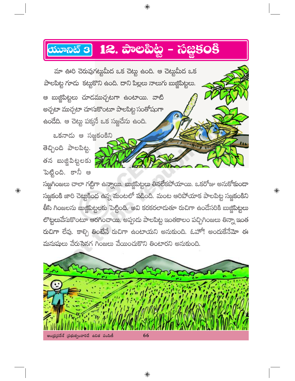## యూనిట్ 3 12. పాంలపిట్ట – సజ్జిక౦కి

మా ఊరి చెరువుగట్టుమీద ఒక చెట్లు ఉంది. ఆ చెట్లుమీద ఒక పాలపిట్ట గూడు కట్టుకొని ఉంది. దాని పిల్లలు నాలుగు బుజ్జిపిట్టలు. ఆ బుజ్జిపిట్టలు చూదముచ్చటగా ఉంటాయి. వాటి అచ్చటా ముచ్చటా చూసుకొంటూ పాలపిట్ట సంతోషంగా ఉండేది. ఆ చెట్టు పక్మనే ఒక సజ్జచేను ఉంది.

ఒకనాడు ఆ సజ్జకంకిని తెచ్చింది పాలపిట్ట.

తన బుజ్జిపిట్టలకు పెట్టింది. కానీ ఆ

 $\textcolor{black}{\textcolor{black}{\bigcirc}}$ 

సజ్జగింజలు చాలా గట్టిగా ఉన్నాయి. బుజ్జిపిట్టలు తినలేకపోయాయి. ఒకరోజు అనుకోకుండా సజ్జకంకి జారి చెట్టుకింద ఉన్న మంటలో పడింది. మంట ఆరిపోయాక పాలపిట్ట సజ్జకంకిని తీసి గింజలను బుజ్జిపిట్టలకు పెట్టింది. అవి కరకరలాదుతూ రుచిగా ఉందేసరికి బుజ్జిపిట్టలు లొట్టలువేసుకొంటూ ఆరగించాయి. అప్పుడు పాలపిట్ట ఇంతకాలం పచ్చిగింజలు తిన్నా ఇంత రుచిగా లేవు. కాల్చి తింటేనే రుచిగా ఉంటాయని అనుకుంది. ఓహో! అందుకేనేమో ఈ మనుషులు వేరుసైనగ గింజలు వేయించుకొని తింటారని అనుకుంది.

 $\textcolor{black}{\textcircled{\ell}}$ 



 $\bigoplus$ 

⊕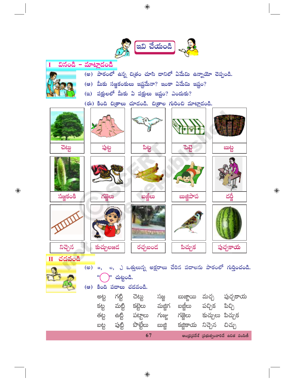

◈

 $\bigoplus$ 

 $\bigoplus$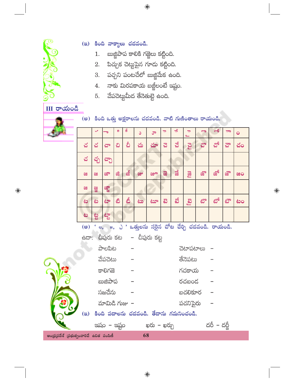$\bigoplus$ 

- $1.$
- (ఇ) కింది వాక్యాలు చదవండి.
	- బుజ్జిపాప కాలికి గజ్జెలు కట్టింది.
	- 2. పిచ్చుక చెట్టుపైన గూడు కట్టింది.
	- $3.$  పచ్చని పంటచేలో బుజ్జిమేక ఉంది.
	- 4.  $\sigma$ ాకు మిరపకాయ బజ్జీలంటే ఇష్టం.
	- $5.$  వేపచెట్టుమీద తేనెతుట్టె ఉంది.

 $III$  రాయండి



၄<br>ဂ

ෂ

 $\bigoplus$ 

(అ) కింది ఒత్తు అక్షరాలను చదవండి. వాటి గుణింతాలు రాయండి.

| 野菜                                     |                                                                     |     |      | ø  | ö  | Ő  | ూ                                          | $\Rightarrow$           | ڪ  | $\Rightarrow$ | g    | ക്          | $\Rightarrow$ | $\bullet$ |  |
|----------------------------------------|---------------------------------------------------------------------|-----|------|----|----|----|--------------------------------------------|-------------------------|----|---------------|------|-------------|---------------|-----------|--|
|                                        | చ                                                                   | చ   | ವ್   | ವಿ | వీ | చు | చూ                                         | ವ                       | ವೆ | Ed            | చొ   | చో          | చౌ            | చం        |  |
|                                        | చ                                                                   | చ్చ | ಬ್ಬೌ |    |    |    |                                            |                         |    |               |      |             |               |           |  |
|                                        | ಜ                                                                   | æ,  | జా   | ಜಿ | జీ | జు | జూ                                         | $\overline{\mathbf{z}}$ | ಷ  | <b>B</b>      | జ్లో | జో          | జ్లౌ          | ಜಂ        |  |
|                                        | ಜ                                                                   | 88  | ಜ್ಞ  |    |    |    |                                            |                         |    |               |      |             |               |           |  |
|                                        | ف                                                                   | ف   | ەى   | ෯  | తీ | êœ | ಟಾ                                         | ස                       | න් | $\mathbb{E}$  | టొ   | టో          | టౌ            | فات       |  |
|                                        | ಟ                                                                   | ಟ್ಟ | త్తా |    |    |    |                                            |                         |    |               |      |             |               |           |  |
|                                        | ' ల, జ, చి ' ఒత్తులను సరైన చోట చేర్చి చదవండి. రాయండి.<br>$($ $($ ෂ) |     |      |    |    |    |                                            |                         |    |               |      |             |               |           |  |
| ఉదా: చీపురు కట   – చీపురు కట్ట         |                                                                     |     |      |    |    |    |                                            |                         |    |               |      |             |               |           |  |
|                                        | <u> ವ</u> ೌಲಪಿಟ                                                     |     |      |    |    |    |                                            | చెటాపటాలు               |    |               |      |             |               |           |  |
|                                        | వేపచెటు                                                             |     |      |    |    |    |                                            | తేనెపటు                 |    |               |      |             |               |           |  |
|                                        | కాలిగజె                                                             |     |      |    |    |    |                                            | గచకాయ                   |    |               |      |             |               |           |  |
|                                        | బుజిపాప                                                             |     |      |    |    |    |                                            | రచబంద                   |    |               |      |             |               |           |  |
|                                        |                                                                     |     |      |    |    |    |                                            |                         |    |               |      |             |               |           |  |
|                                        | సజచేను                                                              |     |      |    |    |    |                                            | బచలికూర                 |    |               |      |             |               |           |  |
|                                        | మామిడి గుజు –                                                       |     |      |    |    |    |                                            |                         |    | పచనిపైరు      |      |             |               |           |  |
|                                        |                                                                     |     |      |    |    |    | (ఇ) కింది పదాలను చదవండి. తేదాను గమనించండి. |                         |    |               |      |             |               |           |  |
|                                        |                                                                     |     |      |    |    |    | ఇషం – ఇష్టం – ఖరు – ఖర్చు                  |                         |    |               |      | దరీ – దర్జీ |               |           |  |
| )ధ్రప్రదేశ్ (పభుత్వంవారిచే ఉచిత పంపిణీ |                                                                     |     |      |    |    | 68 |                                            |                         |    |               |      |             |               |           |  |

 $\bigoplus$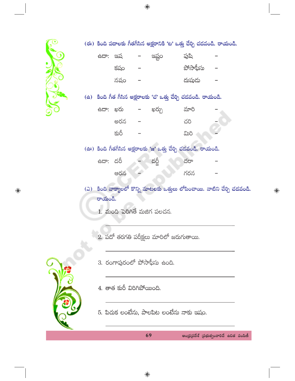

 $\bigoplus$ 

 $\bigoplus$ 

ఆంధ్రప్రదేశ్ (పభుత్వంవారిచే ఉచిత పంపిణీ

 $\bigoplus$ 

69